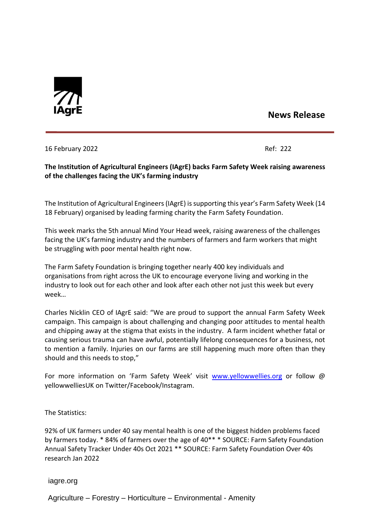

## **News Release**

16 February 2022 Ref: 222

## **The Institution of Agricultural Engineers (IAgrE) backs Farm Safety Week raising awareness of the challenges facing the UK's farming industry**

The Institution of Agricultural Engineers(IAgrE) issupporting this year's Farm Safety Week (14 18 February) organised by leading farming charity the Farm Safety Foundation.

This week marks the 5th annual Mind Your Head week, raising awareness of the challenges facing the UK's farming industry and the numbers of farmers and farm workers that might be struggling with poor mental health right now.

The Farm Safety Foundation is bringing together nearly 400 key individuals and organisations from right across the UK to encourage everyone living and working in the industry to look out for each other and look after each other not just this week but every week…

Charles Nicklin CEO of IAgrE said: "We are proud to support the annual Farm Safety Week campaign. This campaign is about challenging and changing poor attitudes to mental health and chipping away at the stigma that exists in the industry. A farm incident whether fatal or causing serious trauma can have awful, potentially lifelong consequences for a business, not to mention a family. Injuries on our farms are still happening much more often than they should and this needs to stop,"

For more information on 'Farm Safety Week' visit [www.yellowwellies.org](http://www.yellowwellies.org/) or follow @ yellowwelliesUK on Twitter/Facebook/Instagram.

The Statistics:

92% of UK farmers under 40 say mental health is one of the biggest hidden problems faced by farmers today. \* 84% of farmers over the age of 40\*\* \* SOURCE: Farm Safety Foundation Annual Safety Tracker Under 40s Oct 2021 \*\* SOURCE: Farm Safety Foundation Over 40s research Jan 2022

iagre.org

Agriculture – Forestry – Horticulture – Environmental - Amenity